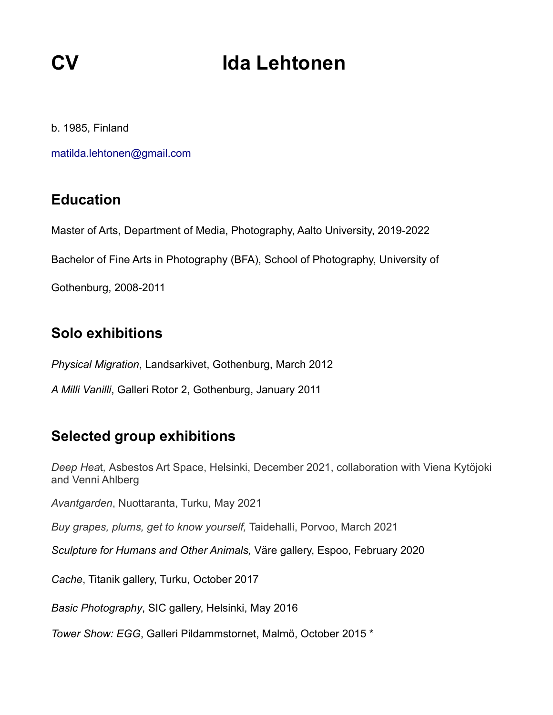# **CV** Ida Lehtonen

b. 1985, Finland

[matilda.lehtonen@gmail.com](mailto:matilda.lehtonen@gmail.com)

#### **Education**

Master of Arts, Department of Media, Photography, Aalto University, 2019-2022

Bachelor of Fine Arts in Photography (BFA), School of Photography, University of

Gothenburg, 2008-2011

## **Solo exhibitions**

*Physical Migration*, Landsarkivet, Gothenburg, March 2012

*A Milli Vanilli*, Galleri Rotor 2, Gothenburg, January 2011

#### **Selected group exhibitions**

*Deep Hea*t*,* Asbestos Art Space, Helsinki, December 2021, collaboration with Viena Kytöjoki and Venni Ahlberg

*Avantgarden*, Nuottaranta, Turku, May 2021

*Buy grapes, plums, get to know yourself,* Taidehalli, Porvoo, March 2021

*Sculpture for Humans and Other Animals,* Väre gallery, Espoo, February 2020

*Cache*, Titanik gallery, Turku, October 2017

*Basic Photography*, SIC gallery, Helsinki, May 2016

*[Tower Show: EGG](https://www.facebook.com/events/1778938195666710/)*, Galleri Pildammstornet, Malmö, October 2015 \*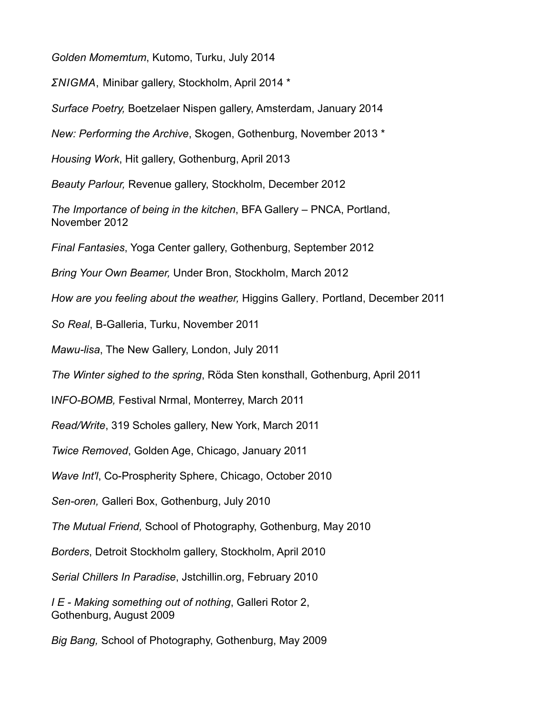*Golden Momemtum*, Kutomo, Turku, July 2014

*ΣNIGMA*, Minibar gallery, Stockholm, April 2014 \*

*Surface Poetry,* Boetzelaer Nispen gallery, Amsterdam, January 2014

*New: Performing the Archive*, Skogen, Gothenburg, November 2013 \*

*Housing Work*, Hit gallery, Gothenburg, April 2013

*Beauty Parlour,* Revenue gallery, Stockholm, December 2012

*The Importance of being in the kitchen*, BFA Gallery – PNCA, Portland, November 2012

*Final Fantasies*, Yoga Center gallery, Gothenburg, September 2012

*Bring Your Own Beamer,* Under Bron, Stockholm, March 2012

*How are you feeling about the weather,* Higgins Gallery, Portland, December 2011

*So Real*, B-Galleria, Turku, November 2011

*Mawu-lisa*, The New Gallery, London, July 2011

*The Winter sighed to the spring*, Röda Sten konsthall, Gothenburg, April 2011

I*NFO-BOMB,* Festival Nrmal, Monterrey, March 2011

*Read/Write*, 319 Scholes gallery, New York, March 2011

*Twice Removed*, Golden Age, Chicago, January 2011

*Wave Int'l*, Co-Prospherity Sphere, Chicago, October 2010

*Sen-oren,* Galleri Box, Gothenburg, July 2010

*The Mutual Friend,* School of Photography, Gothenburg, May 2010

*Borders*, Detroit Stockholm gallery, Stockholm, April 2010

*Serial Chillers In Paradise*, Jstchillin.org, February 2010

*I E - Making something out of nothing*, Galleri Rotor 2, Gothenburg, August 2009

*Big Bang,* School of Photography, Gothenburg, May 2009